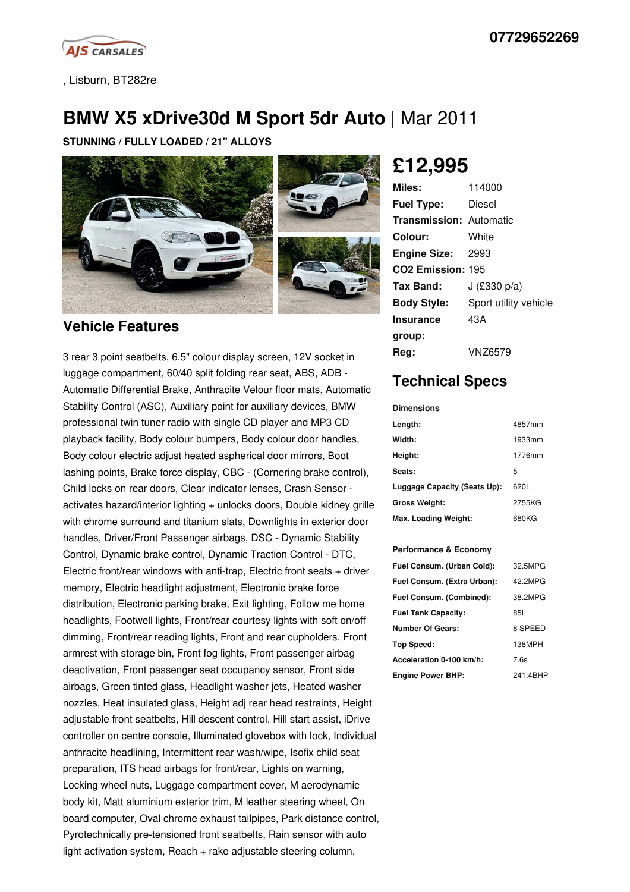

, Lisburn, BT282re

# **BMW X5 xDrive30d M Sport 5dr Auto** | Mar 2011

**STUNNING / FULLY LOADED / 21" ALLOYS**



### **Vehicle Features**

3 rear 3 point seatbelts, 6.5" colour display screen, 12V socket in luggage compartment, 60/40 split folding rear seat, ABS, ADB - Automatic Differential Brake, Anthracite Velour floor mats, Automatic Stability Control (ASC), Auxiliary point for auxiliary devices, BMW professional twin tuner radio with single CD player and MP3 CD playback facility, Body colour bumpers, Body colour door handles, Body colour electric adjust heated aspherical door mirrors, Boot lashing points, Brake force display, CBC - (Cornering brake control), Child locks on rear doors, Clear indicator lenses, Crash Sensor activates hazard/interior lighting + unlocks doors, Double kidney grille with chrome surround and titanium slats, Downlights in exterior door handles, Driver/Front Passenger airbags, DSC - Dynamic Stability Control, Dynamic brake control, Dynamic Traction Control - DTC, Electric front/rear windows with anti-trap, Electric front seats + driver memory, Electric headlight adjustment, Electronic brake force distribution, Electronic parking brake, Exit lighting, Follow me home headlights, Footwell lights, Front/rear courtesy lights with soft on/off dimming, Front/rear reading lights, Front and rear cupholders, Front armrest with storage bin, Front fog lights, Front passenger airbag deactivation, Front passenger seat occupancy sensor, Front side airbags, Green tinted glass, Headlight washer jets, Heated washer nozzles, Heat insulated glass, Height adj rear head restraints, Height adjustable front seatbelts, Hill descent control, Hill start assist, iDrive controller on centre console, Illuminated glovebox with lock, Individual anthracite headlining, Intermittent rear wash/wipe, Isofix child seat preparation, ITS head airbags for front/rear, Lights on warning, Locking wheel nuts, Luggage compartment cover, M aerodynamic body kit, Matt aluminium exterior trim, M leather steering wheel, On board computer, Oval chrome exhaust tailpipes, Park distance control, Pyrotechnically pre-tensioned front seatbelts, Rain sensor with auto light activation system, Reach + rake adjustable steering column,

# **£12,995**

| Miles:                         | 114000                |
|--------------------------------|-----------------------|
| <b>Fuel Type:</b>              | Diesel                |
| <b>Transmission: Automatic</b> |                       |
| Colour:                        | White                 |
| <b>Engine Size: 2993</b>       |                       |
| CO <sub>2</sub> Emission: 195  |                       |
| Tax Band:                      | J $(E330 p/a)$        |
| <b>Body Style:</b>             | Sport utility vehicle |
| <b>Insurance</b>               | 43A                   |
| group:                         |                       |
| Rea:                           | VNZ6579               |

## **Technical Specs**

**Dimensions**

| Length:                      | 4857mm |
|------------------------------|--------|
| Width:                       | 1933mm |
| Height:                      | 1776mm |
| Seats:                       | 5      |
| Luggage Capacity (Seats Up): | 620L   |
| <b>Gross Weight:</b>         | 2755KG |
| Max. Loading Weight:         | 680KG  |

### **Performance & Economy**

| Fuel Consum. (Urban Cold):  | 32.5MPG  |
|-----------------------------|----------|
| Fuel Consum. (Extra Urban): | 42 2MPG  |
| Fuel Consum. (Combined):    | 38.2MPG  |
| <b>Fuel Tank Capacity:</b>  | 85L      |
| <b>Number Of Gears:</b>     | 8 SPEED  |
| Top Speed:                  | 138MPH   |
| Acceleration 0-100 km/h:    | 7.6s     |
| <b>Engine Power BHP:</b>    | 241 4RHP |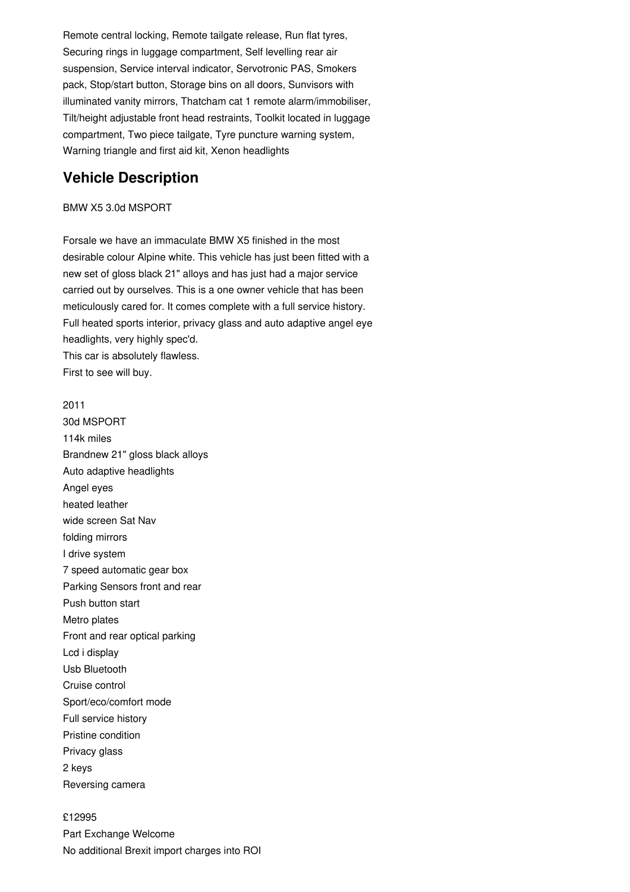Remote central locking, Remote tailgate release, Run flat tyres, Securing rings in luggage compartment, Self levelling rear air suspension, Service interval indicator, Servotronic PAS, Smokers pack, Stop/start button, Storage bins on all doors, Sunvisors with illuminated vanity mirrors, Thatcham cat 1 remote alarm/immobiliser, Tilt/height adjustable front head restraints, Toolkit located in luggage compartment, Two piece tailgate, Tyre puncture warning system, Warning triangle and first aid kit, Xenon headlights

## **Vehicle Description**

### BMW X5 3.0d MSPORT

Forsale we have an immaculate BMW X5 finished in the most desirable colour Alpine white. This vehicle has just been fitted with a new set of gloss black 21" alloys and has just had a major service carried out by ourselves. This is a one owner vehicle that has been meticulously cared for. It comes complete with a full service history. Full heated sports interior, privacy glass and auto adaptive angel eye headlights, very highly spec'd. This car is absolutely flawless. First to see will buy.

2011 30d MSPORT 114k miles Brandnew 21" gloss black alloys Auto adaptive headlights Angel eyes heated leather wide screen Sat Nav folding mirrors I drive system 7 speed automatic gear box Parking Sensors front and rear Push button start Metro plates Front and rear optical parking Lcd i display Usb Bluetooth Cruise control Sport/eco/comfort mode Full service history Pristine condition Privacy glass 2 keys Reversing camera

£12995 Part Exchange Welcome No additional Brexit import charges into ROI